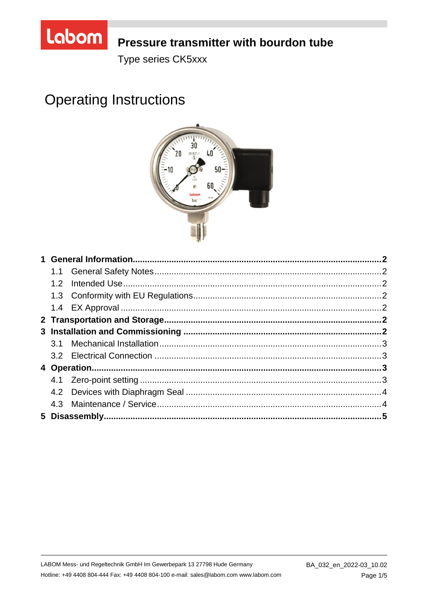

# Pressure transmitter with bourdon tube

Type series CK5xxx

# **Operating Instructions**



| 1.2 |  |
|-----|--|
|     |  |
|     |  |
|     |  |
|     |  |
|     |  |
|     |  |
|     |  |
|     |  |
|     |  |
|     |  |
|     |  |
|     |  |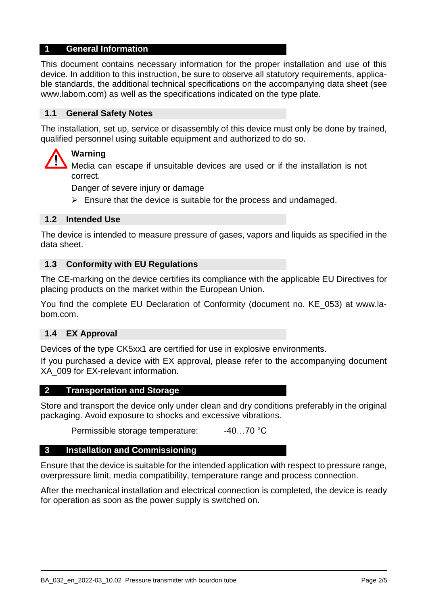#### **1 General Information**

This document contains necessary information for the proper installation and use of this device. In addition to this instruction, be sure to observe all statutory requirements, applicable standards, the additional technical specifications on the accompanying data sheet (see www.labom.com) as well as the specifications indicated on the type plate.

#### **1.1 General Safety Notes**

The installation, set up, service or disassembly of this device must only be done by trained, qualified personnel using suitable equipment and authorized to do so.

#### **Warning**

Media can escape if unsuitable devices are used or if the installation is not correct.

Danger of severe injury or damage

 $\triangleright$  Ensure that the device is suitable for the process and undamaged.

#### **1.2 Intended Use**

The device is intended to measure pressure of gases, vapors and liquids as specified in the data sheet.

#### **1.3 Conformity with EU Regulations**

The CE-marking on the device certifies its compliance with the applicable EU Directives for placing products on the market within the European Union.

You find the complete EU Declaration of Conformity (document no. KE\_053) at www.labom.com.

#### **1.4 EX Approval**

Devices of the type CK5xx1 are certified for use in explosive environments.

If you purchased a device with EX approval, please refer to the accompanying document XA\_009 for EX-relevant information.

#### **2 Transportation and Storage**

Store and transport the device only under clean and dry conditions preferably in the original packaging. Avoid exposure to shocks and excessive vibrations.

Permissible storage temperature: -40...70 °C

#### **3 Installation and Commissioning**

Ensure that the device is suitable for the intended application with respect to pressure range, overpressure limit, media compatibility, temperature range and process connection.

After the mechanical installation and electrical connection is completed, the device is ready for operation as soon as the power supply is switched on.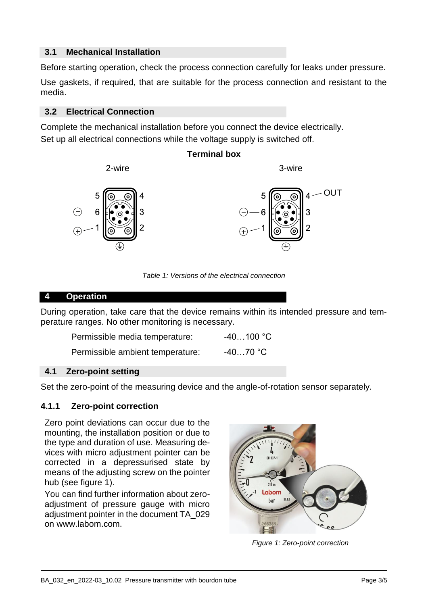#### **3.1 Mechanical Installation**

Before starting operation, check the process connection carefully for leaks under pressure.

Use gaskets, if required, that are suitable for the process connection and resistant to the media.

#### **3.2 Electrical Connection**

Complete the mechanical installation before you connect the device electrically. Set up all electrical connections while the voltage supply is switched off.



*Table 1: Versions of the electrical connection*

| peration<br>וו |  |
|----------------|--|
|----------------|--|

During operation, take care that the device remains within its intended pressure and temperature ranges. No other monitoring is necessary.

| Permissible media temperature:   | $-40100 °C$          |
|----------------------------------|----------------------|
| Permissible ambient temperature: | $-4070$ $^{\circ}$ C |

#### **4.1 Zero-point setting**

Set the zero-point of the measuring device and the angle-of-rotation sensor separately.

#### **4.1.1 Zero-point correction**

Zero point deviations can occur due to the mounting, the installation position or due to the type and duration of use. Measuring devices with micro adjustment pointer can be corrected in a depressurised state by means of the adjusting screw on the pointer hub (see figure [1\)](#page-2-0).

You can find further information about zeroadjustment of pressure gauge with micro adjustment pointer in the document TA\_029 on www.labom.com.

<span id="page-2-0"></span>

*Figure 1: Zero-point correction*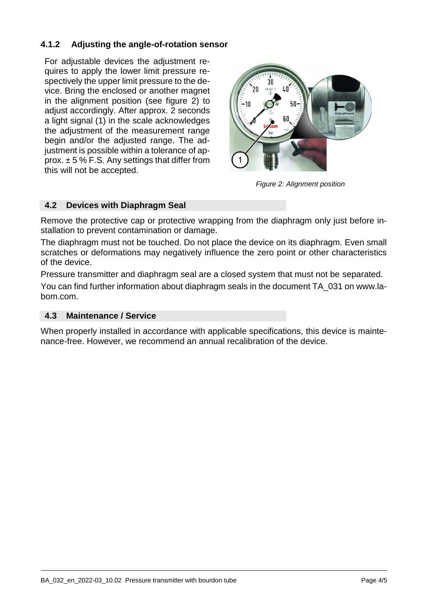#### **4.1.2 Adjusting the angle-of-rotation sensor**

For adjustable devices the adjustment requires to apply the lower limit pressure respectively the upper limit pressure to the device. Bring the enclosed or another magnet in the alignment position (see figure 2) to adjust accordingly. After approx. 2 seconds a light signal (1) in the scale acknowledges the adjustment of the measurement range begin and/or the adjusted range. The adjustment is possible within a tolerance of approx.  $\pm$  5 % F.S. Any settings that differ from this will not be accepted.



*Figure 2: Alignment position*

#### **4.2 Devices with Diaphragm Seal**

Remove the protective cap or protective wrapping from the diaphragm only just before installation to prevent contamination or damage.

The diaphragm must not be touched. Do not place the device on its diaphragm. Even small scratches or deformations may negatively influence the zero point or other characteristics of the device.

Pressure transmitter and diaphragm seal are a closed system that must not be separated. You can find further information about diaphragm seals in the document TA\_031 on www.labom.com.

#### **4.3 Maintenance / Service**

When properly installed in accordance with applicable specifications, this device is maintenance-free. However, we recommend an annual recalibration of the device.